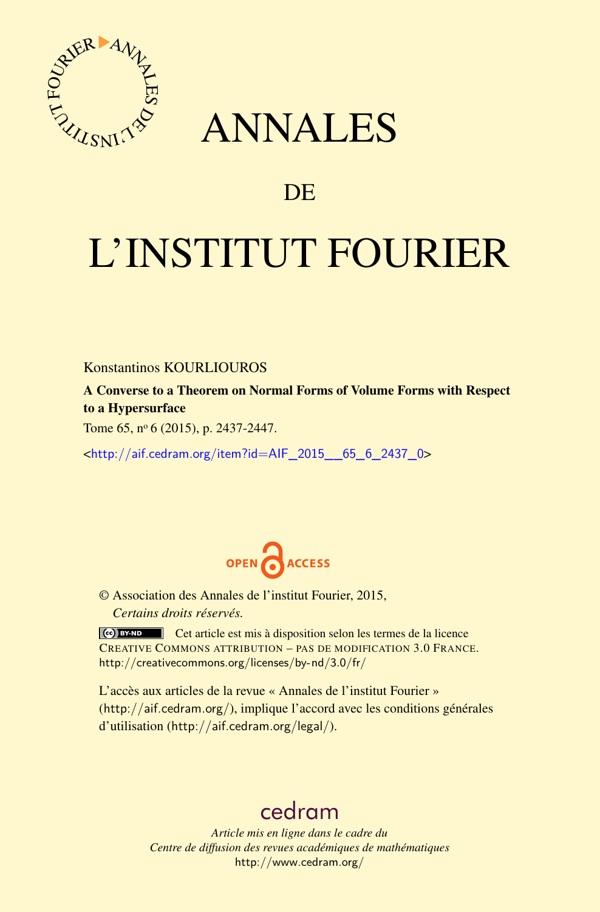

# ANNALES

# **DE**

# L'INSTITUT FOURIER

## Konstantinos KOURLIOUROS

A Converse to a Theorem on Normal Forms of Volume Forms with Respect to a Hypersurface

Tome 65, nº 6 (2015), p. 2437-2447.

<[http://aif.cedram.org/item?id=AIF\\_2015\\_\\_65\\_6\\_2437\\_0](http://aif.cedram.org/item?id=AIF_2015__65_6_2437_0)>



© Association des Annales de l'institut Fourier, 2015, *Certains droits réservés.*

Cet article est mis à disposition selon les termes de la licence CREATIVE COMMONS ATTRIBUTION – PAS DE MODIFICATION 3.0 FRANCE. <http://creativecommons.org/licenses/by-nd/3.0/fr/>

L'accès aux articles de la revue « Annales de l'institut Fourier » (<http://aif.cedram.org/>), implique l'accord avec les conditions générales d'utilisation (<http://aif.cedram.org/legal/>).

# [cedram](http://www.cedram.org/)

*Article mis en ligne dans le cadre du Centre de diffusion des revues académiques de mathématiques* <http://www.cedram.org/>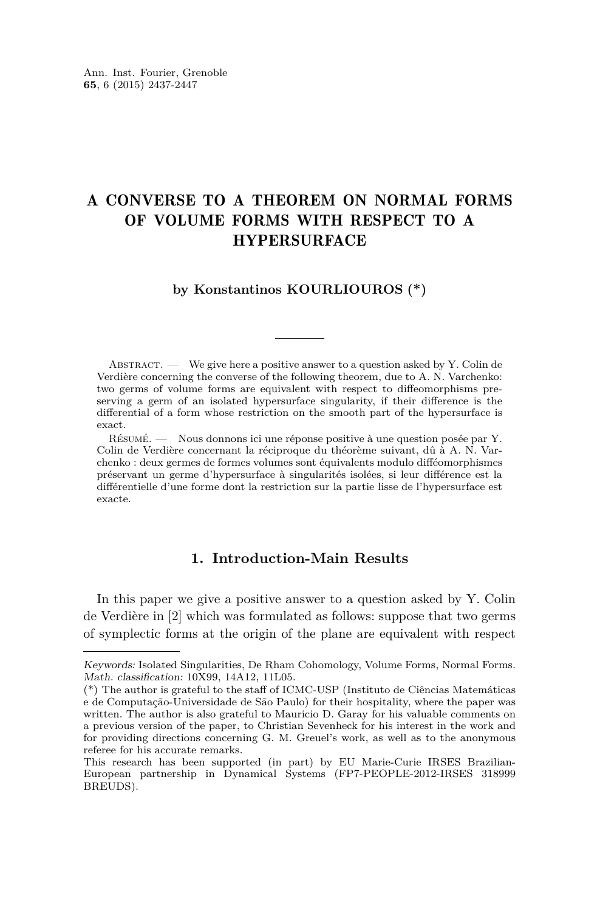# A CONVERSE TO A THEOREM ON NORMAL FORMS OF VOLUME FORMS WITH RESPECT TO A **HYPERSURFACE**

#### **by Konstantinos KOURLIOUROS (\*)**

ABSTRACT. — We give here a positive answer to a question asked by Y. Colin de Verdière concerning the converse of the following theorem, due to A. N. Varchenko: two germs of volume forms are equivalent with respect to diffeomorphisms preserving a germ of an isolated hypersurface singularity, if their difference is the differential of a form whose restriction on the smooth part of the hypersurface is exact.

Résumé. — Nous donnons ici une réponse positive à une question posée par Y. Colin de Verdière concernant la réciproque du théorème suivant, dû à A. N. Varchenko : deux germes de formes volumes sont équivalents modulo difféomorphismes préservant un germe d'hypersurface à singularités isolées, si leur différence est la différentielle d'une forme dont la restriction sur la partie lisse de l'hypersurface est exacte.

### **1. Introduction-Main Results**

In this paper we give a positive answer to a question asked by Y. Colin de Verdière in [\[2\]](#page-11-0) which was formulated as follows: suppose that two germs of symplectic forms at the origin of the plane are equivalent with respect

Keywords: Isolated Singularities, De Rham Cohomology, Volume Forms, Normal Forms. Math. classification: 10X99, 14A12, 11L05.

<sup>(\*)</sup> The author is grateful to the staff of ICMC-USP (Instituto de Ciências Matemáticas e de Computação-Universidade de São Paulo) for their hospitality, where the paper was written. The author is also grateful to Mauricio D. Garay for his valuable comments on a previous version of the paper, to Christian Sevenheck for his interest in the work and for providing directions concerning G. M. Greuel's work, as well as to the anonymous referee for his accurate remarks.

This research has been supported (in part) by EU Marie-Curie IRSES Brazilian-European partnership in Dynamical Systems (FP7-PEOPLE-2012-IRSES 318999 BREUDS).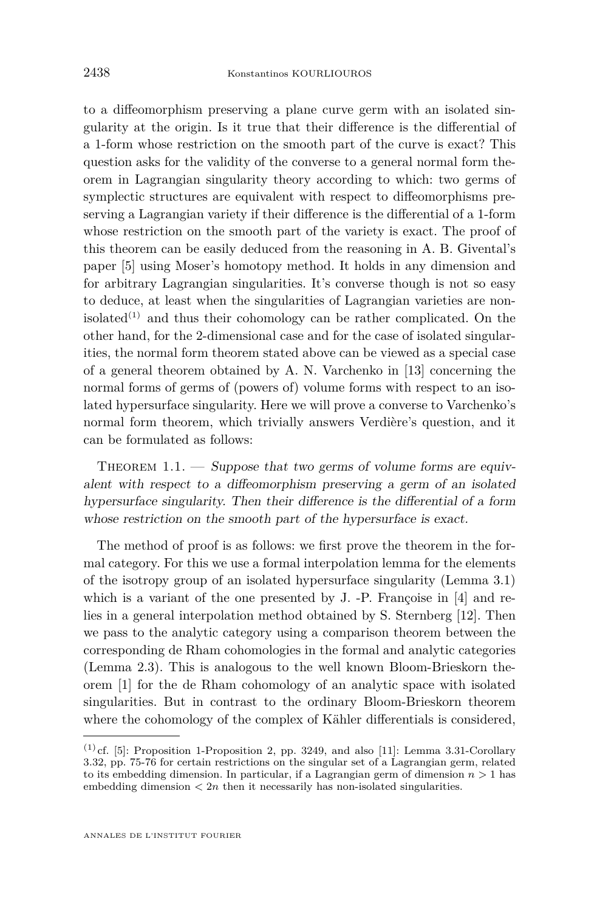<span id="page-2-0"></span>to a diffeomorphism preserving a plane curve germ with an isolated singularity at the origin. Is it true that their difference is the differential of a 1-form whose restriction on the smooth part of the curve is exact? This question asks for the validity of the converse to a general normal form theorem in Lagrangian singularity theory according to which: two germs of symplectic structures are equivalent with respect to diffeomorphisms preserving a Lagrangian variety if their difference is the differential of a 1-form whose restriction on the smooth part of the variety is exact. The proof of this theorem can be easily deduced from the reasoning in A. B. Givental's paper [\[5\]](#page-11-0) using Moser's homotopy method. It holds in any dimension and for arbitrary Lagrangian singularities. It's converse though is not so easy to deduce, at least when the singularities of Lagrangian varieties are nonisolated<sup> $(1)$ </sup> and thus their cohomology can be rather complicated. On the other hand, for the 2-dimensional case and for the case of isolated singularities, the normal form theorem stated above can be viewed as a special case of a general theorem obtained by A. N. Varchenko in [\[13\]](#page-11-0) concerning the normal forms of germs of (powers of) volume forms with respect to an isolated hypersurface singularity. Here we will prove a converse to Varchenko's normal form theorem, which trivially answers Verdière's question, and it can be formulated as follows:

THEOREM  $1.1.$  — Suppose that two germs of volume forms are equivalent with respect to a diffeomorphism preserving a germ of an isolated hypersurface singularity. Then their difference is the differential of a form whose restriction on the smooth part of the hypersurface is exact.

The method of proof is as follows: we first prove the theorem in the formal category. For this we use a formal interpolation lemma for the elements of the isotropy group of an isolated hypersurface singularity (Lemma [3.1\)](#page-8-0) which is a variant of the one presented by J. -P. Françoise in [\[4\]](#page-11-0) and relies in a general interpolation method obtained by S. Sternberg [\[12\]](#page-11-0). Then we pass to the analytic category using a comparison theorem between the corresponding de Rham cohomologies in the formal and analytic categories (Lemma [2.3\)](#page-6-0). This is analogous to the well known Bloom-Brieskorn theorem [\[1\]](#page-11-0) for the de Rham cohomology of an analytic space with isolated singularities. But in contrast to the ordinary Bloom-Brieskorn theorem where the cohomology of the complex of Kähler differentials is considered,

 $(1)$  cf. [\[5\]](#page-11-0): Proposition 1-Proposition 2, pp. 3249, and also [\[11\]](#page-11-0): Lemma 3.31-Corollary 3.32, pp. 75-76 for certain restrictions on the singular set of a Lagrangian germ, related to its embedding dimension. In particular, if a Lagrangian germ of dimension *n >* 1 has embedding dimension *<* 2*n* then it necessarily has non-isolated singularities.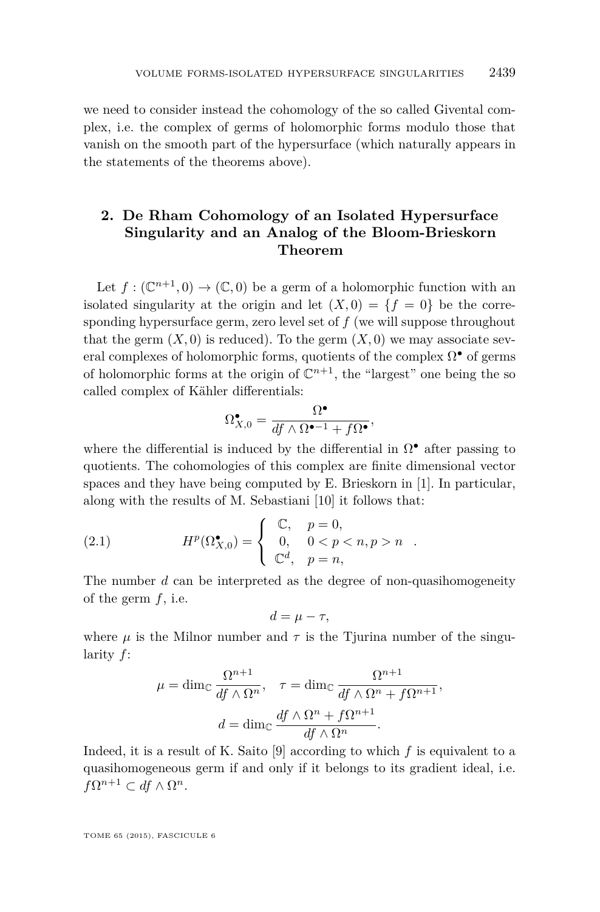<span id="page-3-0"></span>we need to consider instead the cohomology of the so called Givental complex, i.e. the complex of germs of holomorphic forms modulo those that vanish on the smooth part of the hypersurface (which naturally appears in the statements of the theorems above).

## **2. De Rham Cohomology of an Isolated Hypersurface Singularity and an Analog of the Bloom-Brieskorn Theorem**

Let  $f: (\mathbb{C}^{n+1},0) \to (\mathbb{C},0)$  be a germ of a holomorphic function with an isolated singularity at the origin and let  $(X, 0) = \{f = 0\}$  be the corresponding hypersurface germ, zero level set of *f* (we will suppose throughout that the germ  $(X, 0)$  is reduced). To the germ  $(X, 0)$  we may associate several complexes of holomorphic forms, quotients of the complex  $\Omega^{\bullet}$  of germs of holomorphic forms at the origin of  $\mathbb{C}^{n+1}$ , the "largest" one being the so called complex of Kähler differentials:

$$
\Omega_{X,0}^{\bullet} = \frac{\Omega^{\bullet}}{df \wedge \Omega^{\bullet-1} + f\Omega^{\bullet}},
$$

where the differential is induced by the differential in  $\Omega^{\bullet}$  after passing to quotients. The cohomologies of this complex are finite dimensional vector spaces and they have being computed by E. Brieskorn in [\[1\]](#page-11-0). In particular, along with the results of M. Sebastiani [\[10\]](#page-11-0) it follows that:

(2.1) 
$$
H^{p}(\Omega_{X,0}^{\bullet}) = \begin{cases} \mathbb{C}, & p = 0, \\ 0, & 0 < p < n, p > n \\ \mathbb{C}^{d}, & p = n, \end{cases}
$$

The number *d* can be interpreted as the degree of non-quasihomogeneity of the germ *f*, i.e.

$$
d=\mu-\tau,
$$

where  $\mu$  is the Milnor number and  $\tau$  is the Tjurina number of the singularity *f*:

$$
\mu = \dim_{\mathbb{C}} \frac{\Omega^{n+1}}{df \wedge \Omega^n}, \quad \tau = \dim_{\mathbb{C}} \frac{\Omega^{n+1}}{df \wedge \Omega^n + f\Omega^{n+1}},
$$

$$
d = \dim_{\mathbb{C}} \frac{df \wedge \Omega^n + f\Omega^{n+1}}{df \wedge \Omega^n}.
$$

Indeed, it is a result of K. Saito [\[9\]](#page-11-0) according to which *f* is equivalent to a quasihomogeneous germ if and only if it belongs to its gradient ideal, i.e.  $f\Omega^{n+1} \subset df \wedge \Omega^n$ .

TOME 65 (2015), FASCICULE 6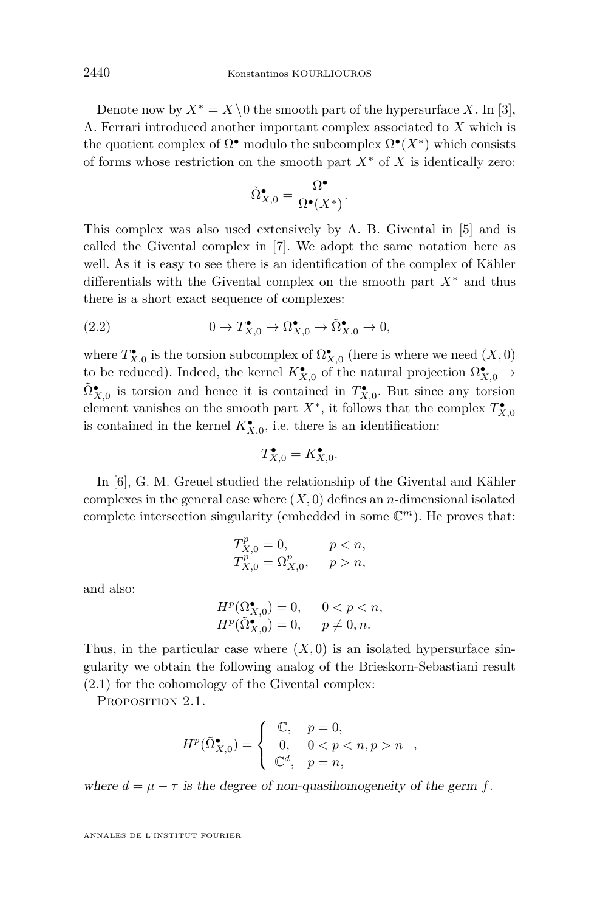<span id="page-4-0"></span>Denote now by  $X^* = X \setminus 0$  the smooth part of the hypersurface X. In [\[3\]](#page-11-0), A. Ferrari introduced another important complex associated to *X* which is the quotient complex of  $\Omega^{\bullet}$  modulo the subcomplex  $\Omega^{\bullet}(X^*)$  which consists of forms whose restriction on the smooth part *X*<sup>∗</sup> of *X* is identically zero:

$$
\tilde{\Omega}_{X,0}^{\bullet} = \frac{\Omega^{\bullet}}{\Omega^{\bullet}(X^*)}.
$$

This complex was also used extensively by A. B. Givental in [\[5\]](#page-11-0) and is called the Givental complex in [\[7\]](#page-11-0). We adopt the same notation here as well. As it is easy to see there is an identification of the complex of Kähler differentials with the Givental complex on the smooth part *X*<sup>∗</sup> and thus there is a short exact sequence of complexes:

(2.2) 
$$
0 \to T_{X,0}^{\bullet} \to \Omega_{X,0}^{\bullet} \to \tilde{\Omega}_{X,0}^{\bullet} \to 0,
$$

where  $T_{X,0}^{\bullet}$  is the torsion subcomplex of  $\Omega_{X,0}^{\bullet}$  (here is where we need  $(X,0)$ to be reduced). Indeed, the kernel  $K_{X,0}^{\bullet}$  of the natural projection  $\Omega_{X,0}^{\bullet} \to$  $\tilde{\Omega}_{X,0}^{\bullet}$  is torsion and hence it is contained in  $T_{X,0}^{\bullet}$ . But since any torsion element vanishes on the smooth part  $X^*$ , it follows that the complex  $T^{\bullet}_{X,0}$ is contained in the kernel  $K_{X,0}^{\bullet}$ , i.e. there is an identification:

$$
T_{X,0}^{\bullet} = K_{X,0}^{\bullet}.
$$

In [\[6\]](#page-11-0), G. M. Greuel studied the relationship of the Givental and Kähler complexes in the general case where  $(X, 0)$  defines an *n*-dimensional isolated complete intersection singularity (embedded in some  $\mathbb{C}^m$ ). He proves that:

$$
T_{X,0}^p = 0, \t p < n,
$$
  
\n
$$
T_{X,0}^p = \Omega_{X,0}^p, \t p > n,
$$

and also:

$$
H^p(\Omega_{X,0}^{\bullet}) = 0, \quad 0 < p < n,
$$
  

$$
H^p(\tilde{\Omega}_{X,0}^{\bullet}) = 0, \quad p \neq 0, n.
$$

Thus, in the particular case where  $(X,0)$  is an isolated hypersurface singularity we obtain the following analog of the Brieskorn-Sebastiani result [\(2.1\)](#page-3-0) for the cohomology of the Givental complex:

PROPOSITION 2.1.

$$
H^p(\tilde{\Omega}_{X,0}^{\bullet}) = \left\{ \begin{array}{ll} \mathbb{C}, & p = 0, \\ 0, & 0 < p < n, p > n \\ \mathbb{C}^d, & p = n, \end{array} \right.,
$$

where  $d = \mu - \tau$  is the degree of non-quasihomogeneity of the germ f.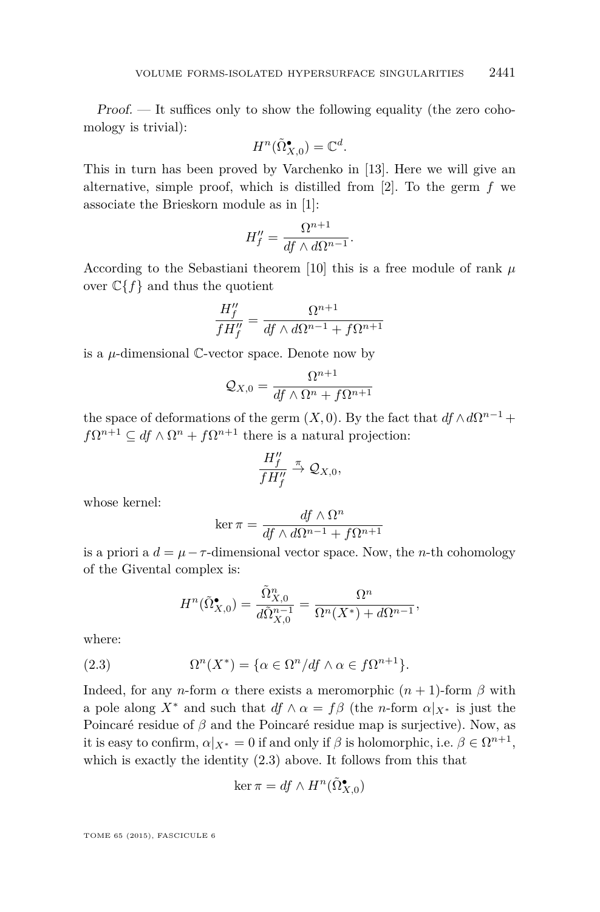Proof. — It suffices only to show the following equality (the zero cohomology is trivial):

$$
H^n(\tilde{\Omega}_{X,0}^\bullet)=\mathbb{C}^d.
$$

This in turn has been proved by Varchenko in [\[13\]](#page-11-0). Here we will give an alternative, simple proof, which is distilled from [\[2\]](#page-11-0). To the germ *f* we associate the Brieskorn module as in [\[1\]](#page-11-0):

$$
H''_f = \frac{\Omega^{n+1}}{df \wedge d\Omega^{n-1}}.
$$

According to the Sebastiani theorem [\[10\]](#page-11-0) this is a free module of rank *µ* over  $\mathbb{C}\{f\}$  and thus the quotient

$$
\frac{H''_f}{fH''_f} = \frac{\Omega^{n+1}}{df \wedge d\Omega^{n-1} + f\Omega^{n+1}}
$$

is a *µ*-dimensional C-vector space. Denote now by

$$
\mathcal{Q}_{X,0} = \frac{\Omega^{n+1}}{df \wedge \Omega^n + f\Omega^{n+1}}
$$

the space of deformations of the germ  $(X, 0)$ . By the fact that  $df \wedge d\Omega^{n-1}$  +  $f\Omega^{n+1} \subseteq df \wedge \Omega^n + f\Omega^{n+1}$  there is a natural projection:

$$
\frac{H''_f}{fH''_f} \stackrel{\pi}{\rightarrow} \mathcal{Q}_{X,0},
$$

whose kernel:

$$
\ker \pi = \frac{df \wedge \Omega^n}{df \wedge d\Omega^{n-1} + f\Omega^{n+1}}
$$

is a priori a  $d = \mu - \tau$ -dimensional vector space. Now, the *n*-th cohomology of the Givental complex is:

$$
H^n(\tilde{\Omega}_{X,0}^{\bullet}) = \frac{\tilde{\Omega}_{X,0}^n}{d\tilde{\Omega}_{X,0}^{n-1}} = \frac{\Omega^n}{\Omega^n(X^*) + d\Omega^{n-1}},
$$

where:

(2.3) 
$$
\Omega^n(X^*) = \{ \alpha \in \Omega^n / df \wedge \alpha \in f\Omega^{n+1} \}.
$$

Indeed, for any *n*-form  $\alpha$  there exists a meromorphic  $(n + 1)$ -form  $\beta$  with a pole along  $X^*$  and such that  $df \wedge \alpha = f\beta$  (the *n*-form  $\alpha|_{X^*}$  is just the Poincaré residue of *β* and the Poincaré residue map is surjective). Now, as it is easy to confirm,  $\alpha|_{X^*} = 0$  if and only if  $\beta$  is holomorphic, i.e.  $\beta \in \Omega^{n+1}$ , which is exactly the identity (2.3) above. It follows from this that

$$
\ker \pi = df \wedge H^n(\tilde{\Omega}_{X,0}^{\bullet})
$$

TOME 65 (2015), FASCICULE 6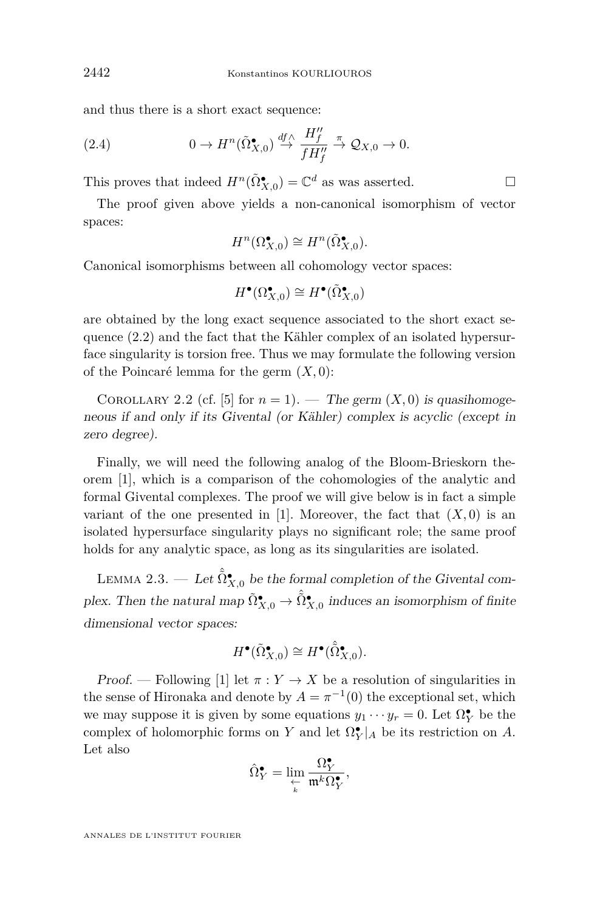<span id="page-6-0"></span>and thus there is a short exact sequence:

(2.4) 
$$
0 \to H^n(\tilde{\Omega}_{X,0}^{\bullet}) \stackrel{df \wedge}{\to} \frac{H''_f}{fH''_f} \stackrel{\pi}{\to} \mathcal{Q}_{X,0} \to 0.
$$

This proves that indeed  $H^n(\tilde{\Omega}_{X,0}^{\bullet}) = \mathbb{C}^d$  as was asserted.

The proof given above yields a non-canonical isomorphism of vector spaces:

$$
H^n(\Omega_{X,0}^\bullet) \cong H^n(\tilde{\Omega}_{X,0}^\bullet).
$$

Canonical isomorphisms between all cohomology vector spaces:

$$
H^{\bullet}(\Omega_{X,0}^{\bullet}) \cong H^{\bullet}(\tilde{\Omega}_{X,0}^{\bullet})
$$

are obtained by the long exact sequence associated to the short exact sequence [\(2.2\)](#page-4-0) and the fact that the Kähler complex of an isolated hypersurface singularity is torsion free. Thus we may formulate the following version of the Poincaré lemma for the germ (*X,* 0):

COROLLARY 2.2 (cf. [\[5\]](#page-11-0) for  $n = 1$ ). — The germ  $(X, 0)$  is quasihomogeneous if and only if its Givental (or Kähler) complex is acyclic (except in zero degree).

Finally, we will need the following analog of the Bloom-Brieskorn theorem [\[1\]](#page-11-0), which is a comparison of the cohomologies of the analytic and formal Givental complexes. The proof we will give below is in fact a simple variant of the one presented in [\[1\]](#page-11-0). Moreover, the fact that  $(X, 0)$  is an isolated hypersurface singularity plays no significant role; the same proof holds for any analytic space, as long as its singularities are isolated.

LEMMA 2.3. — Let  $\hat{\tilde{\Omega}}_{X,0}^{\bullet}$  be the formal completion of the Givental complex. Then the natural map  $\tilde{\Omega}_{X,0}^{\bullet} \to \hat{\tilde{\Omega}}_{X,0}^{\bullet}$  induces an isomorphism of finite dimensional vector spaces:

$$
H^{\bullet}(\tilde{\Omega}_{X,0}^{\bullet}) \cong H^{\bullet}(\hat{\tilde{\Omega}}_{X,0}^{\bullet}).
$$

Proof. — Following [\[1\]](#page-11-0) let  $\pi: Y \to X$  be a resolution of singularities in the sense of Hironaka and denote by  $A = \pi^{-1}(0)$  the exceptional set, which we may suppose it is given by some equations  $y_1 \cdots y_r = 0$ . Let  $\Omega_Y^{\bullet}$  be the complex of holomorphic forms on *Y* and let  $\Omega_Y^{\bullet}|_A$  be its restriction on *A*. Let also

$$
\hat{\Omega}^{\bullet}_{Y}=\lim_{\substack{\leftarrow \\ k}}\frac{\Omega^{\bullet}_{Y}}{\mathfrak{m}^k\Omega^{\bullet}_{Y}},
$$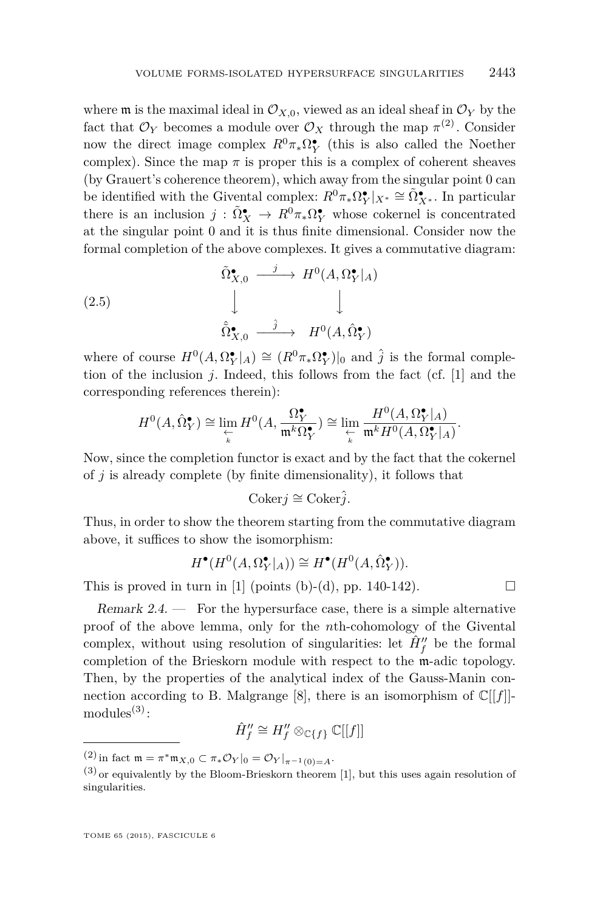where **m** is the maximal ideal in  $\mathcal{O}_{X,0}$ , viewed as an ideal sheaf in  $\mathcal{O}_Y$  by the fact that  $\mathcal{O}_Y$  becomes a module over  $\mathcal{O}_X$  through the map  $\pi^{(2)}$ . Consider now the direct image complex  $R^0 \pi_* \Omega_Y^{\bullet}$  (this is also called the Noether complex). Since the map  $\pi$  is proper this is a complex of coherent sheaves (by Grauert's coherence theorem), which away from the singular point 0 can be identified with the Givental complex:  $R^0 \pi_* \Omega_Y^{\bullet} |_{X^*} \cong \tilde{\Omega}_{X^*}^{\bullet}$ . In particular there is an inclusion  $j : \tilde{\Omega}_X^{\bullet} \to R^0 \pi_* \Omega_Y^{\bullet}$  whose cokernel is concentrated at the singular point 0 and it is thus finite dimensional. Consider now the formal completion of the above complexes. It gives a commutative diagram:

(2.5)  
\n
$$
\begin{array}{ccc}\n\tilde{\Omega}_{X,0}^{\bullet} & \xrightarrow{j} & H^{0}(A, \Omega_{Y}^{\bullet}|_{A}) \\
\downarrow & & \downarrow \\
\hat{\Omega}_{X,0}^{\bullet} & \xrightarrow{j} & H^{0}(A, \hat{\Omega}_{Y}^{\bullet})\n\end{array}
$$

where of course  $H^0(A, \Omega_Y^{\bullet}|_A) \cong (R^0 \pi_* \Omega_Y^{\bullet})|_0$  and  $\hat{j}$  is the formal completion of the inclusion *j*. Indeed, this follows from the fact (cf. [\[1\]](#page-11-0) and the corresponding references therein):

$$
H^0(A, \hat{\Omega}_Y^{\bullet}) \cong \lim_{\substack{\leftarrow \\ k}} H^0(A, \frac{\Omega_Y^{\bullet}}{\mathfrak{m}^k \Omega_Y^{\bullet}}) \cong \lim_{\substack{\leftarrow \\ k}} \frac{H^0(A, \Omega_Y^{\bullet}|_A)}{\mathfrak{m}^k H^0(A, \Omega_Y^{\bullet}|_A)}.
$$

Now, since the completion functor is exact and by the fact that the cokernel of *j* is already complete (by finite dimensionality), it follows that

$$
Coker j \cong Coker \hat{j}.
$$

Thus, in order to show the theorem starting from the commutative diagram above, it suffices to show the isomorphism:

$$
H^{\bullet}(H^0(A, \Omega_Y^{\bullet}|_A)) \cong H^{\bullet}(H^0(A, \hat{\Omega}_Y^{\bullet})).
$$

This is proved in turn in [\[1\]](#page-11-0) (points (b)-(d), pp. 140-142).  $\Box$ 

Remark  $2.4.$  — For the hypersurface case, there is a simple alternative proof of the above lemma, only for the *n*th-cohomology of the Givental complex, without using resolution of singularities: let  $\hat{H}''_f$  be the formal completion of the Brieskorn module with respect to the m-adic topology. Then, by the properties of the analytical index of the Gauss-Manin con-nection according to B. Malgrange [\[8\]](#page-11-0), there is an isomorphism of  $\mathbb{C}[[f]]$  $modules<sup>(3)</sup>$ :

$$
\hat{H}''_f \cong H''_f \otimes_{\mathbb{C}\{f\}} \mathbb{C}[[f]]
$$

 $(2)$  in fact  $\mathfrak{m} = \pi^* \mathfrak{m}_{X,0} \subset \pi_* \mathcal{O}_Y|_0 = \mathcal{O}_Y|_{\pi^{-1}(0) = A}.$ 

 $(3)$  or equivalently by the Bloom-Brieskorn theorem [\[1\]](#page-11-0), but this uses again resolution of singularities.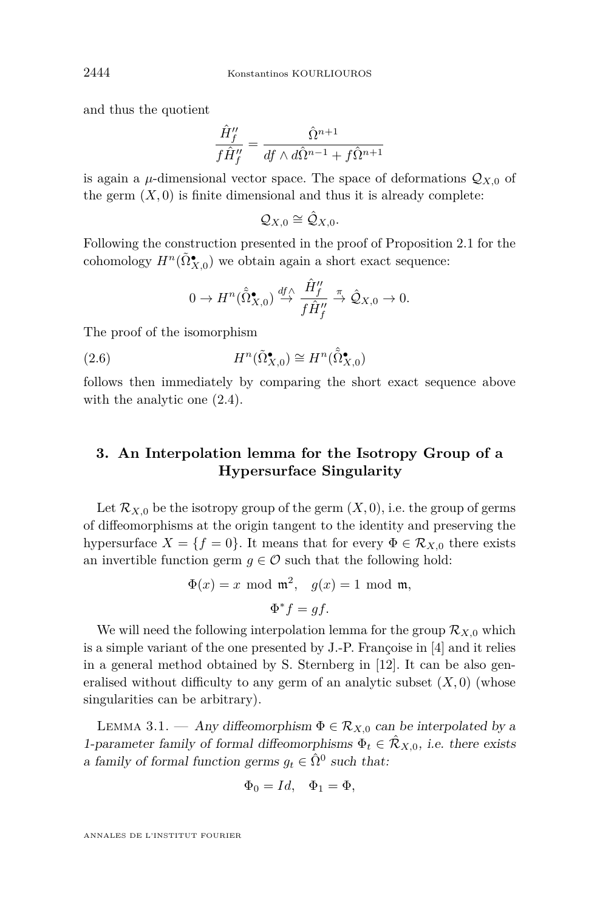and thus the quotient

$$
\frac{\hat{H}''_f}{f\hat{H}''_f} = \frac{\hat{\Omega}^{n+1}}{df \wedge d\hat{\Omega}^{n-1} + f\hat{\Omega}^{n+1}}
$$

is again a  $\mu$ -dimensional vector space. The space of deformations  $\mathcal{Q}_{X,0}$  of the germ  $(X, 0)$  is finite dimensional and thus it is already complete:

$$
\mathcal{Q}_{X,0}\cong\hat{\mathcal{Q}}_{X,0}.
$$

Following the construction presented in the proof of Proposition [2.1](#page-4-0) for the cohomology  $H^n(\tilde{\Omega}_{X,0}^{\bullet})$  we obtain again a short exact sequence:

$$
0 \to H^n(\hat{\hat{\Omega}}_{X,0}^{\bullet}) \stackrel{df \wedge}{\to} \frac{\hat{H}''_f}{f \hat{H}''_f} \stackrel{\pi}{\to} \hat{\mathcal{Q}}_{X,0} \to 0.
$$

The proof of the isomorphism

(2.6) 
$$
H^n(\tilde{\Omega}_{X,0}^{\bullet}) \cong H^n(\hat{\tilde{\Omega}}_{X,0}^{\bullet})
$$

follows then immediately by comparing the short exact sequence above with the analytic one [\(2.4\)](#page-6-0).

## **3. An Interpolation lemma for the Isotropy Group of a Hypersurface Singularity**

Let  $\mathcal{R}_{X,0}$  be the isotropy group of the germ  $(X,0)$ , i.e. the group of germs of diffeomorphisms at the origin tangent to the identity and preserving the hypersurface  $X = \{f = 0\}$ . It means that for every  $\Phi \in \mathcal{R}_{X,0}$  there exists an invertible function germ  $g \in \mathcal{O}$  such that the following hold:

$$
\Phi(x) = x \mod \mathfrak{m}^2, \quad g(x) = 1 \mod \mathfrak{m},
$$

$$
\Phi^* f = gf.
$$

We will need the following interpolation lemma for the group  $\mathcal{R}_{X,0}$  which is a simple variant of the one presented by J.-P. Françoise in [\[4\]](#page-11-0) and it relies in a general method obtained by S. Sternberg in [\[12\]](#page-11-0). It can be also generalised without difficulty to any germ of an analytic subset  $(X,0)$  (whose singularities can be arbitrary).

LEMMA 3.1. — Any diffeomorphism  $\Phi \in \mathcal{R}_{X,0}$  can be interpolated by a 1-parameter family of formal diffeomorphisms  $\Phi_t \in \mathcal{R}_{X,0}$ , i.e. there exists a family of formal function germs  $g_t \in \hat{\Omega}^0$  such that:

$$
\Phi_0 = Id, \quad \Phi_1 = \Phi,
$$

<span id="page-8-0"></span>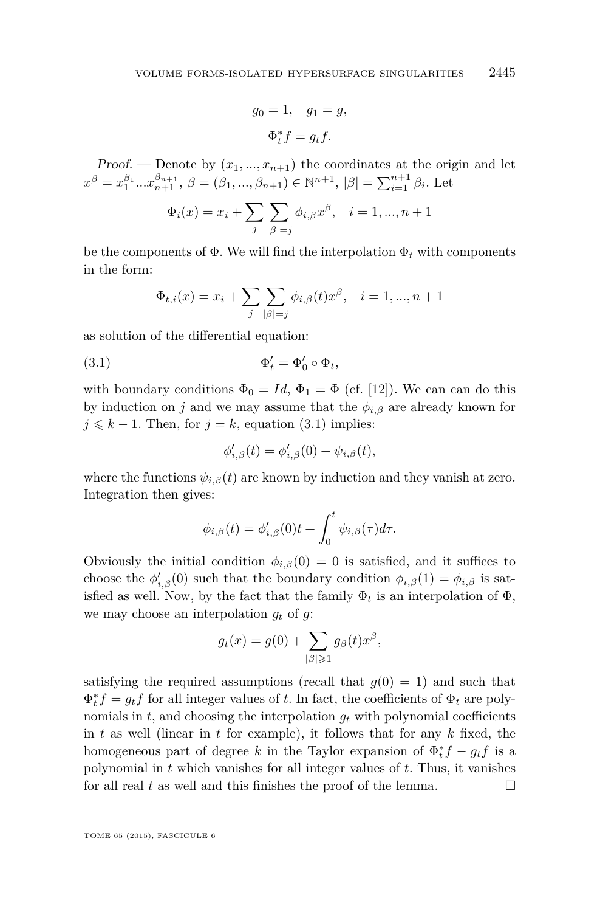$$
g_0 = 1, \quad g_1 = g,
$$
  

$$
\Phi_t^* f = g_t f.
$$

Proof. — Denote by  $(x_1, ..., x_{n+1})$  the coordinates at the origin and let  $x^{\beta} = x_1^{\beta_1} \dots x_{n+1}^{\beta_{n+1}}$ ,  $\beta = (\beta_1, \dots, \beta_{n+1}) \in \mathbb{N}^{n+1}$ ,  $|\beta| = \sum_{i=1}^{n+1} \beta_i$ . Let

$$
\Phi_i(x)=x_i+\sum_j\sum_{|\beta|=j}\phi_{i,\beta}x^{\beta},\quad i=1,...,n+1
$$

be the components of  $\Phi$ . We will find the interpolation  $\Phi_t$  with components in the form:

$$
\Phi_{t,i}(x) = x_i + \sum_{j} \sum_{|\beta|=j} \phi_{i,\beta}(t) x^{\beta}, \quad i = 1, ..., n+1
$$

as solution of the differential equation:

$$
\Phi'_t = \Phi'_0 \circ \Phi_t,
$$

with boundary conditions  $\Phi_0 = Id$ ,  $\Phi_1 = \Phi$  (cf. [\[12\]](#page-11-0)). We can can do this by induction on *j* and we may assume that the  $\phi_{i,\beta}$  are already known for  $j \leq k - 1$ . Then, for  $j = k$ , equation (3.1) implies:

$$
\phi'_{i,\beta}(t) = \phi'_{i,\beta}(0) + \psi_{i,\beta}(t),
$$

where the functions  $\psi_{i,\beta}(t)$  are known by induction and they vanish at zero. Integration then gives:

$$
\phi_{i,\beta}(t) = \phi'_{i,\beta}(0)t + \int_0^t \psi_{i,\beta}(\tau)d\tau.
$$

Obviously the initial condition  $\phi_{i,\beta}(0) = 0$  is satisfied, and it suffices to choose the  $\phi'_{i,\beta}(0)$  such that the boundary condition  $\phi_{i,\beta}(1) = \phi_{i,\beta}$  is satisfied as well. Now, by the fact that the family  $\Phi_t$  is an interpolation of  $\Phi$ , we may choose an interpolation  $g_t$  of  $g$ :

$$
g_t(x) = g(0) + \sum_{|\beta| \geq 1} g_{\beta}(t) x^{\beta},
$$

satisfying the required assumptions (recall that  $q(0) = 1$ ) and such that  $\Phi_t^* f = g_t f$  for all integer values of *t*. In fact, the coefficients of  $\Phi_t$  are polynomials in  $t$ , and choosing the interpolation  $g_t$  with polynomial coefficients in *t* as well (linear in *t* for example), it follows that for any *k* fixed, the homogeneous part of degree *k* in the Taylor expansion of  $\Phi_t^* f - g_t f$  is a polynomial in *t* which vanishes for all integer values of *t*. Thus, it vanishes for all real  $t$  as well and this finishes the proof of the lemma.  $\Box$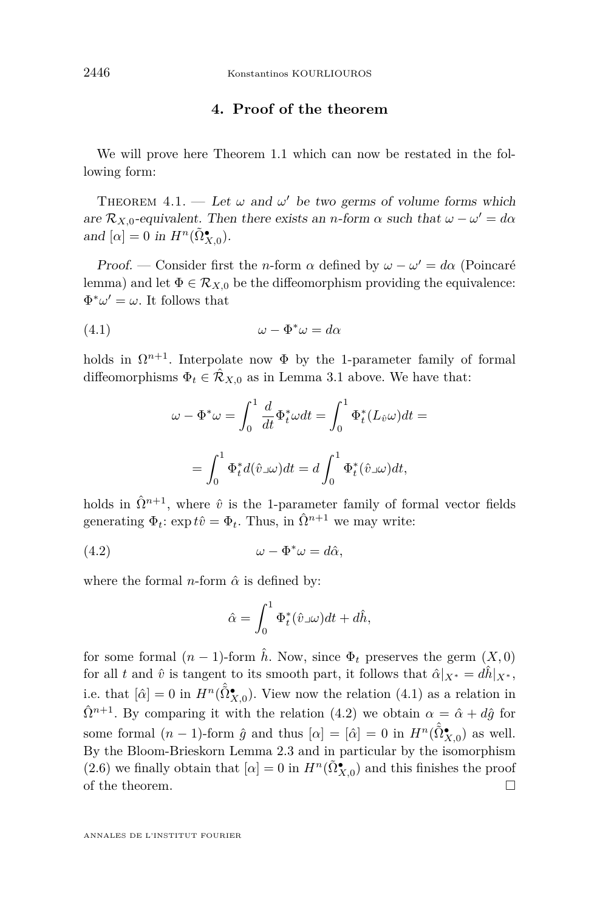#### **4. Proof of the theorem**

We will prove here Theorem [1.1](#page-2-0) which can now be restated in the following form:

THEOREM 4.1. — Let  $\omega$  and  $\omega'$  be two germs of volume forms which are  $\mathcal{R}_{X,0}$ -equivalent. Then there exists an *n*-form  $\alpha$  such that  $\omega - \omega' = d\alpha$ and  $[\alpha] = 0$  in  $H^n(\tilde{\Omega}_{X,0}^{\bullet})$ .

Proof. — Consider first the *n*-form  $\alpha$  defined by  $\omega - \omega' = d\alpha$  (Poincaré lemma) and let  $\Phi \in \mathcal{R}_{X,0}$  be the diffeomorphism providing the equivalence:  $\Phi^* \omega' = \omega$ . It follows that

$$
(4.1) \t\t \t\t \t\t \t\t \omega - \Phi^* \omega = d\alpha
$$

holds in  $\Omega^{n+1}$ . Interpolate now  $\Phi$  by the 1-parameter family of formal diffeomorphisms  $\Phi_t \in \mathcal{R}_{X,0}$  as in Lemma [3.1](#page-8-0) above. We have that:

$$
\omega - \Phi^* \omega = \int_0^1 \frac{d}{dt} \Phi_t^* \omega dt = \int_0^1 \Phi_t^* (L_{\hat{v}} \omega) dt =
$$

$$
= \int_0^1 \Phi_t^* d(\hat{v} \omega) dt = d \int_0^1 \Phi_t^* (\hat{v} \omega) dt,
$$

holds in  $\hat{\Omega}^{n+1}$ , where  $\hat{v}$  is the 1-parameter family of formal vector fields generating  $\Phi_t$ :  $\exp t\hat{v} = \Phi_t$ . Thus, in  $\hat{\Omega}^{n+1}$  we may write:

$$
(4.2) \t\t \t\t \t\t \omega - \Phi^* \omega = d\hat{\alpha},
$$

where the formal *n*-form  $\hat{\alpha}$  is defined by:

$$
\hat{\alpha} = \int_0^1 \Phi_t^*(\hat{v}\lrcorner \omega)dt + d\hat{h},
$$

for some formal  $(n-1)$ -form  $\hat{h}$ . Now, since  $\Phi_t$  preserves the germ  $(X,0)$ for all *t* and  $\hat{v}$  is tangent to its smooth part, it follows that  $\hat{\alpha}|_{X^*} = d\hat{h}|_{X^*}$ , i.e. that  $[\hat{\alpha}] = 0$  in  $H^n(\hat{\tilde{\Omega}}^{\bullet}_{X,0})$ . View now the relation  $(4.1)$  as a relation in  $\hat{\Omega}^{n+1}$ . By comparing it with the relation (4.2) we obtain  $\alpha = \hat{\alpha} + d\hat{g}$  for some formal  $(n-1)$ -form  $\hat{g}$  and thus  $[\alpha] = [\hat{\alpha}] = 0$  in  $H^n(\hat{\tilde{\Omega}}^{\bullet}_{X,0})$  as well. By the Bloom-Brieskorn Lemma [2.3](#page-6-0) and in particular by the isomorphism [\(2.6\)](#page-8-0) we finally obtain that  $[\alpha] = 0$  in  $H^n(\tilde{\Omega}_{X,0}^{\bullet})$  and this finishes the proof of the theorem.  $\Box$